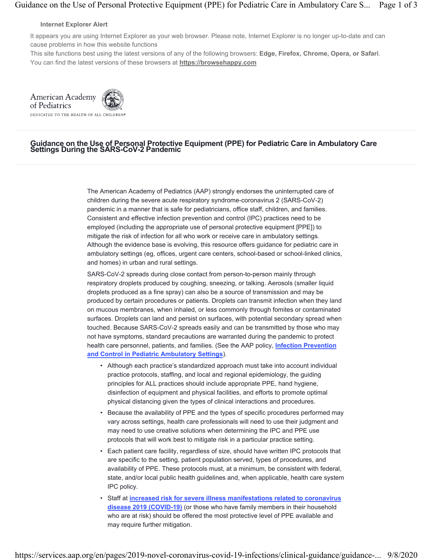#### **Internet Explorer Alert**

It appears you are using Internet Explorer as your web browser. Please note, Internet Explorer is no longer up-to-date and can cause problems in how this website functions

This site functions best using the latest versions of any of the following browsers: **Edge, Firefox, Chrome, Opera, or Safari**. You can find the latest versions of these browsers at **https://browsehappy.com**

American Academy of Pediatrics DEDICATED TO THE HEALTH OF ALL CHILDREN®

# Guidance on the Use of Personal Protective Equipment (PPE) for Pediatric Care in Ambulatory Care Settings During the SARS-CoV-2 Pandemic

The American Academy of Pediatrics (AAP) strongly endorses the uninterrupted care of children during the severe acute respiratory syndrome-coronavirus 2 (SARS-CoV-2) pandemic in a manner that is safe for pediatricians, office staff, children, and families. Consistent and effective infection prevention and control (IPC) practices need to be employed (including the appropriate use of personal protective equipment [PPE]) to mitigate the risk of infection for all who work or receive care in ambulatory settings. Although the evidence base is evolving, this resource offers guidance for pediatric care in ambulatory settings (eg, offices, urgent care centers, school-based or school-linked clinics, and homes) in urban and rural settings.

SARS-CoV-2 spreads during close contact from person-to-person mainly through respiratory droplets produced by coughing, sneezing, or talking. Aerosols (smaller liquid droplets produced as a fine spray) can also be a source of transmission and may be produced by certain procedures or patients. Droplets can transmit infection when they land on mucous membranes, when inhaled, or less commonly through fomites or contaminated surfaces. Droplets can land and persist on surfaces, with potential secondary spread when touched. Because SARS-CoV-2 spreads easily and can be transmitted by those who may not have symptoms, standard precautions are warranted during the pandemic to protect health care personnel, patients, and families. (See the AAP policy, **Infection Prevention and Control in Pediatric Ambulatory Settings**).

- Although each practice's standardized approach must take into account individual practice protocols, staffing, and local and regional epidemiology, the guiding principles for ALL practices should include appropriate PPE, hand hygiene, disinfection of equipment and physical facilities, and efforts to promote optimal physical distancing given the types of clinical interactions and procedures.
- Because the availability of PPE and the types of specific procedures performed may vary across settings, health care professionals will need to use their judgment and may need to use creative solutions when determining the IPC and PPE use protocols that will work best to mitigate risk in a particular practice setting.
- Each patient care facility, regardless of size, should have written IPC protocols that are specific to the setting, patient population served, types of procedures, and availability of PPE. These protocols must, at a minimum, be consistent with federal, state, and/or local public health guidelines and, when applicable, health care system IPC policy.
- Staff at **increased risk for severe illness manifestations related to coronavirus disease 2019 (COVID-19)** (or those who have family members in their household who are at risk) should be offered the most protective level of PPE available and may require further mitigation.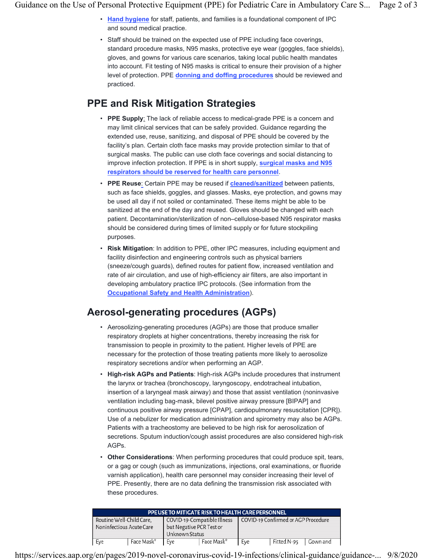- **Hand hygiene** for staff, patients, and families is a foundational component of IPC and sound medical practice.
- Staff should be trained on the expected use of PPE including face coverings, standard procedure masks, N95 masks, protective eye wear (goggles, face shields), gloves, and gowns for various care scenarios, taking local public health mandates into account. Fit testing of N95 masks is critical to ensure their provision of a higher level of protection. PPE **donning and doffing procedures** should be reviewed and practiced.

#### **PPE and Risk Mitigation Strategies**

- **PPE Supply**: The lack of reliable access to medical-grade PPE is a concern and may limit clinical services that can be safely provided. Guidance regarding the extended use, reuse, sanitizing, and disposal of PPE should be covered by the facility's plan. Certain cloth face masks may provide protection similar to that of surgical masks. The public can use cloth face coverings and social distancing to improve infection protection. If PPE is in short supply, **surgical masks and N95 respirators should be reserved for health care personnel**.
- **PPE Reuse**: Certain PPE may be reused if **cleaned/sanitized** between patients, such as face shields, goggles, and glasses. Masks, eye protection, and gowns may be used all day if not soiled or contaminated. These items might be able to be sanitized at the end of the day and reused. Gloves should be changed with each patient. Decontamination/sterilization of non–cellulose-based N95 respirator masks should be considered during times of limited supply or for future stockpiling purposes.
- **Risk Mitigation**: In addition to PPE, other IPC measures, including equipment and facility disinfection and engineering controls such as physical barriers (sneeze/cough guards), defined routes for patient flow, increased ventilation and rate of air circulation, and use of high-efficiency air filters, are also important in developing ambulatory practice IPC protocols. (See information from the **Occupational Safety and Health Administration**).

## **Aerosol-generating procedures (AGPs)**

- Aerosolizing-generating procedures (AGPs) are those that produce smaller respiratory droplets at higher concentrations, thereby increasing the risk for transmission to people in proximity to the patient. Higher levels of PPE are necessary for the protection of those treating patients more likely to aerosolize respiratory secretions and/or when performing an AGP.
- **High-risk AGPs and Patients**: High-risk AGPs include procedures that instrument the larynx or trachea (bronchoscopy, laryngoscopy, endotracheal intubation, insertion of a laryngeal mask airway) and those that assist ventilation (noninvasive ventilation including bag-mask, bilevel positive airway pressure [BIPAP] and continuous positive airway pressure [CPAP], cardiopulmonary resuscitation [CPR]). Use of a nebulizer for medication administration and spirometry may also be AGPs. Patients with a tracheostomy are believed to be high risk for aerosolization of secretions. Sputum induction/cough assist procedures are also considered high-risk AGPs.
- **Other Considerations**: When performing procedures that could produce spit, tears, or a gag or cough (such as immunizations, injections, oral examinations, or fluoride varnish application), health care personnel may consider increasing their level of PPE. Presently, there are no data defining the transmission risk associated with these procedures.

|                                                      | PPE USE TO MITIGATE RISK TO HEALTH CARE PERSONNEL |                                            |                             |                                     |             |          |  |  |  |  |
|------------------------------------------------------|---------------------------------------------------|--------------------------------------------|-----------------------------|-------------------------------------|-------------|----------|--|--|--|--|
| Routine Well-Child Care,<br>Noninfectious Acute Care |                                                   | but Negative PCR Test or<br>Unknown Status | COVID-19-Compatible Illness | COVID-19 Confirmed or AGP Procedure |             |          |  |  |  |  |
| Eve                                                  | Face Mask*<br>Eve                                 |                                            | Face Mask*                  | Eve                                 | Fitted N-95 | Gown and |  |  |  |  |

https://services.aap.org/en/pages/2019-novel-coronavirus-covid-19-infections/clinical-guidance/guidance-... 9/8/2020